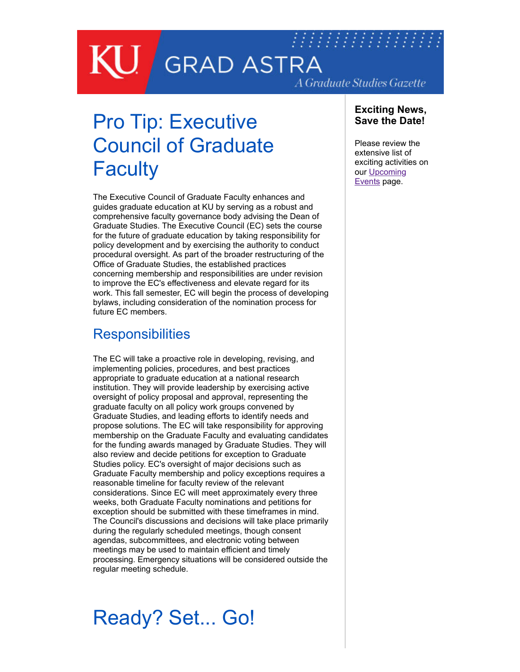## *MINIMARIA* **GRAD ASTRA** A Graduate Studies Gazette

# Pro Tip: Executive

## Council of Graduate **Faculty**

The Executive Council of Graduate Faculty enhances and guides graduate education at KU by serving as a robust and comprehensive faculty governance body advising the Dean of Graduate Studies. The Executive Council (EC) sets the course for the future of graduate education by taking responsibility for policy development and by exercising the authority to conduct procedural oversight. As part of the broader restructuring of the Office of Graduate Studies, the established practices concerning membership and responsibilities are under revision to improve the EC's effectiveness and elevate regard for its work. This fall semester, EC will begin the process of developing bylaws, including consideration of the nomination process for future EC members.

### **Responsibilities**

The EC will take a proactive role in developing, revising, and implementing policies, procedures, and best practices appropriate to graduate education at a national research institution. They will provide leadership by exercising active oversight of policy proposal and approval, representing the graduate faculty on all policy work groups convened by Graduate Studies, and leading efforts to identify needs and propose solutions. The EC will take responsibility for approving membership on the Graduate Faculty and evaluating candidates for the funding awards managed by Graduate Studies. They will also review and decide petitions for exception to Graduate Studies policy. EC's oversight of major decisions such as Graduate Faculty membership and policy exceptions requires a reasonable timeline for faculty review of the relevant considerations. Since EC will meet approximately every three weeks, both Graduate Faculty nominations and petitions for exception should be submitted with these timeframes in mind. The Council's discussions and decisions will take place primarily during the regularly scheduled meetings, though consent agendas, subcommittees, and electronic voting between meetings may be used to maintain efficient and timely processing. Emergency situations will be considered outside the regular meeting schedule.

## Ready? Set... Go!

#### **Exciting News, Save the Date!**

Please review the extensive list of exciting activities on [our Upcoming](http://graduate.ku.edu/upcoming-events) Events page.